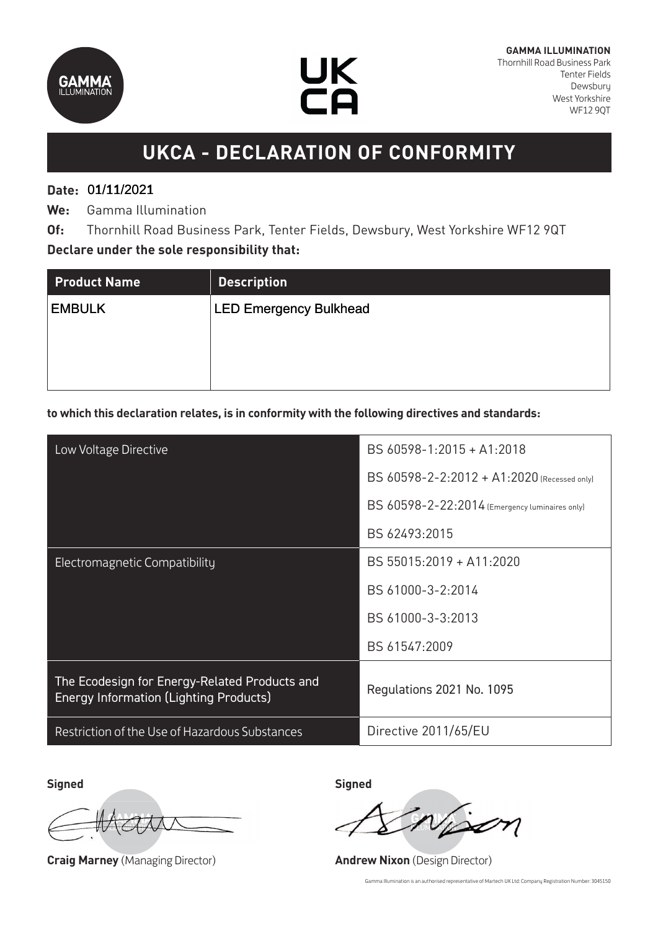



## **UKCA - DECLARATION OF CONFORMITY**

### **Date:**  01/11/2021 01/11/2021

**We:** Gamma Illumination

**Of:** Thornhill Road Business Park, Tenter Fields, Dewsbury, West Yorkshire WF12 9QT **Declare under the sole responsibility that:**

| <b>Product Name</b> | <b>Description</b>            |
|---------------------|-------------------------------|
| <b>EMBULK</b>       | <b>LED Emergency Bulkhead</b> |
|                     |                               |
|                     |                               |
|                     |                               |

### **to which this declaration relates, is in conformity with the following directives and standards:**

| Low Voltage Directive                                                                          | BS 60598-1:2015 + A1:2018                      |
|------------------------------------------------------------------------------------------------|------------------------------------------------|
|                                                                                                | BS 60598-2-2:2012 + A1:2020 (Recessed only)    |
|                                                                                                | BS 60598-2-22:2014 (Emergency luminaires only) |
|                                                                                                | BS 62493:2015                                  |
| Electromagnetic Compatibility                                                                  | BS 55015:2019 + A11:2020                       |
|                                                                                                | BS 61000-3-2:2014                              |
|                                                                                                | BS 61000-3-3:2013                              |
|                                                                                                | BS 61547:2009                                  |
| The Ecodesign for Energy-Related Products and<br><b>Energy Information (Lighting Products)</b> | Regulations 2021 No. 1095                      |
| Restriction of the Use of Hazardous Substances                                                 | Directive 2011/65/EU                           |

**Signed Signed**

**Craig Marney** (Managing Director) **Andrew Nixon** (Design Director)

Gamma Illumination is an authorised representative of Martech UK Ltd: Company Registration Number: 3045150